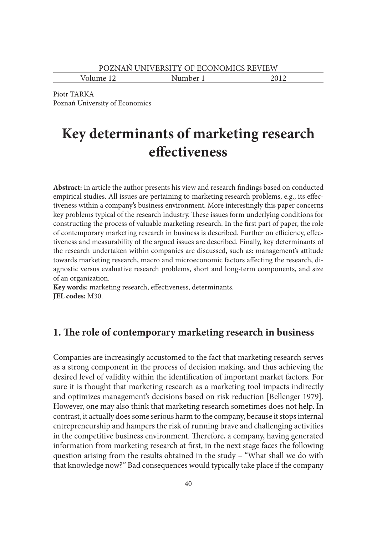Volume 12 Number 1 2012

Piotr TARKA Poznań University of Economics

# **Key determinants of marketing research effectiveness**

**Abstract:** In article the author presents his view and research findings based on conducted empirical studies. All issues are pertaining to marketing research problems, e.g., its effectiveness within a company's business environment. More interestingly this paper concerns key problems typical of the research industry. These issues form underlying conditions for constructing the process of valuable marketing research. In the first part of paper, the role of contemporary marketing research in business is described. Further on efficiency, effectiveness and measurability of the argued issues are described. Finally, key determinants of the research undertaken within companies are discussed, such as: management's attitude towards marketing research, macro and microeconomic factors affecting the research, diagnostic versus evaluative research problems, short and long-term components, and size of an organization.

**Key words:** marketing research, effectiveness, determinants. **JEL codes:** M30.

# **1. The role of contemporary marketing research in business**

Companies are increasingly accustomed to the fact that marketing research serves as a strong component in the process of decision making, and thus achieving the desired level of validity within the identification of important market factors. For sure it is thought that marketing research as a marketing tool impacts indirectly and optimizes management's decisions based on risk reduction [Bellenger 1979]. However, one may also think that marketing research sometimes does not help. In contrast, it actually does some serious harm to the company, because it stops internal entrepreneurship and hampers the risk of running brave and challenging activities in the competitive business environment. Therefore, a company, having generated information from marketing research at first, in the next stage faces the following question arising from the results obtained in the study – "What shall we do with that knowledge now?" Bad consequences would typically take place if the company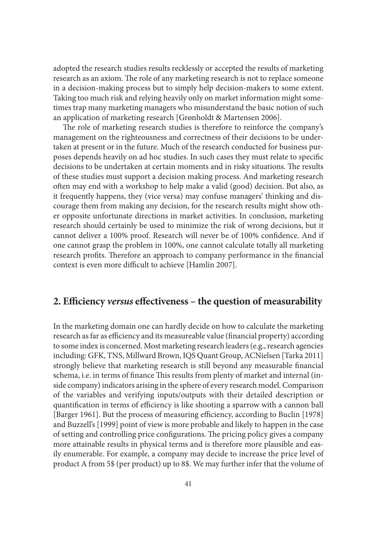adopted the research studies results recklessly or accepted the results of marketing research as an axiom. The role of any marketing research is not to replace someone in a decision-making process but to simply help decision-makers to some extent. Taking too much risk and relying heavily only on market information might sometimes trap many marketing managers who misunderstand the basic notion of such an application of marketing research [Grønholdt & Martensen 2006].

The role of marketing research studies is therefore to reinforce the company's management on the righteousness and correctness of their decisions to be undertaken at present or in the future. Much of the research conducted for business purposes depends heavily on ad hoc studies. In such cases they must relate to specific decisions to be undertaken at certain moments and in risky situations. The results of these studies must support a decision making process. And marketing research often may end with a workshop to help make a valid (good) decision. But also, as it frequently happens, they (vice versa) may confuse managers' thinking and discourage them from making any decision, for the research results might show other opposite unfortunate directions in market activities. In conclusion, marketing research should certainly be used to minimize the risk of wrong decisions, but it cannot deliver a 100% proof. Research will never be of 100% confidence. And if one cannot grasp the problem in 100%, one cannot calculate totally all marketing research profits. Therefore an approach to company performance in the financial context is even more difficult to achieve [Hamlin 2007].

# **2. Efficiency** *versus* **effectiveness – the question of measurability**

In the marketing domain one can hardly decide on how to calculate the marketing research as far as efficiency and its measureable value (financial property) according to some index is concerned. Most marketing research leaders (e.g., research agencies including: GFK, TNS, Millward Brown, IQS Quant Group, ACNielsen [Tarka 2011] strongly believe that marketing research is still beyond any measurable financial schema, i.e. in terms of finance This results from plenty of market and internal (inside company) indicators arising in the sphere of every research model. Comparison of the variables and verifying inputs/outputs with their detailed description or quantification in terms of efficiency is like shooting a sparrow with a cannon ball [Barger 1961]. But the process of measuring efficiency, according to Buclin [1978] and Buzzell's [1999] point of view is more probable and likely to happen in the case of setting and controlling price configurations. The pricing policy gives a company more attainable results in physical terms and is therefore more plausible and easily enumerable. For example, a company may decide to increase the price level of product A from 5\$ (per product) up to 8\$. We may further infer that the volume of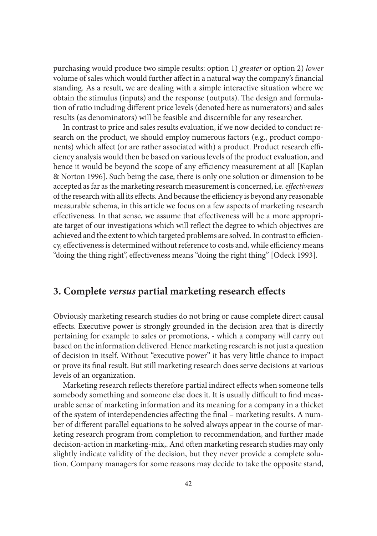purchasing would produce two simple results: option 1) *greater* or option 2) *lower* volume of sales which would further affect in a natural way the company's financial standing. As a result, we are dealing with a simple interactive situation where we obtain the stimulus (inputs) and the response (outputs). The design and formulation of ratio including different price levels (denoted here as numerators) and sales results (as denominators) will be feasible and discernible for any researcher.

In contrast to price and sales results evaluation, if we now decided to conduct research on the product, we should employ numerous factors (e.g., product components) which affect (or are rather associated with) a product. Product research efficiency analysis would then be based on various levels of the product evaluation, and hence it would be beyond the scope of any efficiency measurement at all [Kaplan & Norton 1996]. Such being the case, there is only one solution or dimension to be accepted as far as the marketing research measurement is concerned, i.e. *effectiveness* of the research with all its effects. And because the efficiency is beyond any reasonable measurable schema, in this article we focus on a few aspects of marketing research effectiveness. In that sense, we assume that effectiveness will be a more appropriate target of our investigations which will reflect the degree to which objectives are achieved and the extent to which targeted problems are solved. In contrast to efficiency, effectiveness is determined without reference to costs and, while efficiency means "doing the thing right", effectiveness means "doing the right thing" [Odeck 1993].

# **3. Complete** *versus* **partial marketing research effects**

Obviously marketing research studies do not bring or cause complete direct causal effects. Executive power is strongly grounded in the decision area that is directly pertaining for example to sales or promotions, - which a company will carry out based on the information delivered. Hence marketing research is not just a question of decision in itself. Without "executive power" it has very little chance to impact or prove its final result. But still marketing research does serve decisions at various levels of an organization.

Marketing research reflects therefore partial indirect effects when someone tells somebody something and someone else does it. It is usually difficult to find measurable sense of marketing information and its meaning for a company in a thicket of the system of interdependencies affecting the final – marketing results. A number of different parallel equations to be solved always appear in the course of marketing research program from completion to recommendation, and further made decision-action in marketing-mix,. And often marketing research studies may only slightly indicate validity of the decision, but they never provide a complete solution. Company managers for some reasons may decide to take the opposite stand,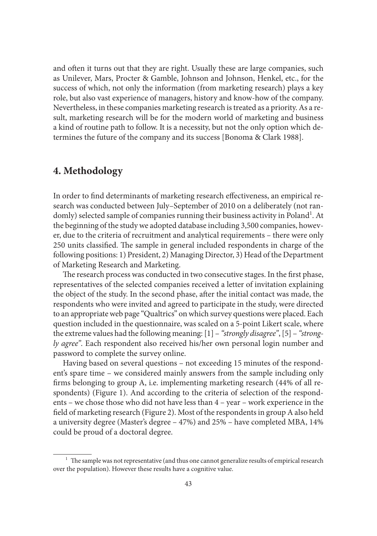and often it turns out that they are right. Usually these are large companies, such as Unilever, Mars, Procter & Gamble, Johnson and Johnson, Henkel, etc., for the success of which, not only the information (from marketing research) plays a key role, but also vast experience of managers, history and know-how of the company. Nevertheless, in these companies marketing research is treated as a priority. As a result, marketing research will be for the modern world of marketing and business a kind of routine path to follow. It is a necessity, but not the only option which determines the future of the company and its success [Bonoma & Clark 1988].

# **4. Methodology**

In order to find determinants of marketing research effectiveness, an empirical research was conducted between July–September of 2010 on a deliberately (not randomly) selected sample of companies running their business activity in Poland<sup>1</sup>. At the beginning of the study we adopted database including 3,500 companies, however, due to the criteria of recruitment and analytical requirements – there were only 250 units classified. The sample in general included respondents in charge of the following positions: 1) President, 2) Managing Director, 3) Head of the Department of Marketing Research and Marketing.

The research process was conducted in two consecutive stages. In the first phase, representatives of the selected companies received a letter of invitation explaining the object of the study. In the second phase, after the initial contact was made, the respondents who were invited and agreed to participate in the study, were directed to an appropriate web page "Qualtrics" on which survey questions were placed. Each question included in the questionnaire, was scaled on a 5-point Likert scale, where the extreme values had the following meaning: [1] – *"strongly disagree"*, [5] – *"strongly agree"*. Each respondent also received his/her own personal login number and password to complete the survey online.

Having based on several questions – not exceeding 15 minutes of the respondent's spare time – we considered mainly answers from the sample including only firms belonging to group A, i.e. implementing marketing research (44% of all respondents) (Figure 1). And according to the criteria of selection of the respondents – we chose those who did not have less than 4 – year – work experience in the field of marketing research (Figure 2). Most of the respondents in group A also held a university degree (Master's degree – 47%) and 25% – have completed MBA, 14% could be proud of a doctoral degree.

 $^{\rm 1}$  The sample was not representative (and thus one cannot generalize results of empirical research over the population). However these results have a cognitive value.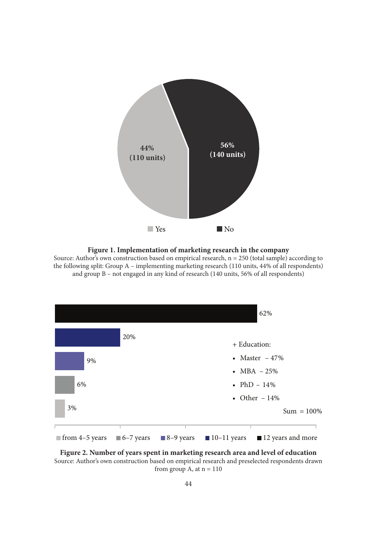

#### **Figure 1. Implementation of marketing research in the company**

Source: Author's own construction based on empirical research,  $n = 250$  (total sample) according to the following split: Group A – implementing marketing research (110 units, 44% of all respondents) and group B – not engaged in any kind of research (140 units, 56% of all respondents)



**Figure 2. Number of years spent in marketing research area and level of education** Source: Author's own construction based on empirical research and preselected respondents drawn from group A, at  $n = 110$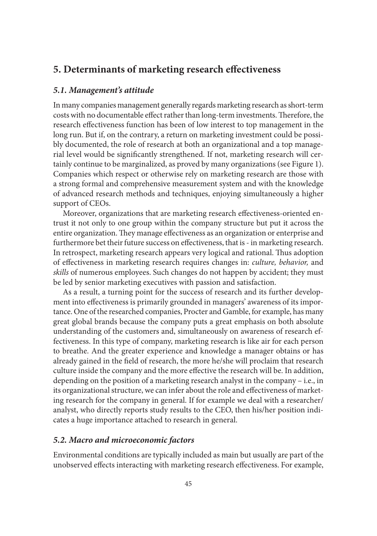# **5. Determinants of marketing research effectiveness**

### *5.1. Management's attitude*

In many companies management generally regards marketing research as short-term costs with no documentable effect rather than long-term investments. Therefore, the research effectiveness function has been of low interest to top management in the long run. But if, on the contrary, a return on marketing investment could be possibly documented, the role of research at both an organizational and a top managerial level would be significantly strengthened. If not, marketing research will certainly continue to be marginalized, as proved by many organizations (see Figure 1). Companies which respect or otherwise rely on marketing research are those with a strong formal and comprehensive measurement system and with the knowledge of advanced research methods and techniques, enjoying simultaneously a higher support of CEOs.

Moreover, organizations that are marketing research effectiveness-oriented entrust it not only to one group within the company structure but put it across the entire organization. They manage effectiveness as an organization or enterprise and furthermore bet their future success on effectiveness, that is - in marketing research. In retrospect, marketing research appears very logical and rational. Thus adoption of effectiveness in marketing research requires changes in: *culture, behavior,* and *skills* of numerous employees. Such changes do not happen by accident; they must be led by senior marketing executives with passion and satisfaction.

As a result, a turning point for the success of research and its further development into effectiveness is primarily grounded in managers' awareness of its importance. One of the researched companies, Procter and Gamble, for example, has many great global brands because the company puts a great emphasis on both absolute understanding of the customers and, simultaneously on awareness of research effectiveness. In this type of company, marketing research is like air for each person to breathe. And the greater experience and knowledge a manager obtains or has already gained in the field of research, the more he/she will proclaim that research culture inside the company and the more effective the research will be. In addition, depending on the position of a marketing research analyst in the company – i.e., in its organizational structure, we can infer about the role and effectiveness of marketing research for the company in general. If for example we deal with a researcher/ analyst, who directly reports study results to the CEO, then his/her position indicates a huge importance attached to research in general.

## *5.2. Macro and microeconomic factors*

Environmental conditions are typically included as main but usually are part of the unobserved effects interacting with marketing research effectiveness. For example,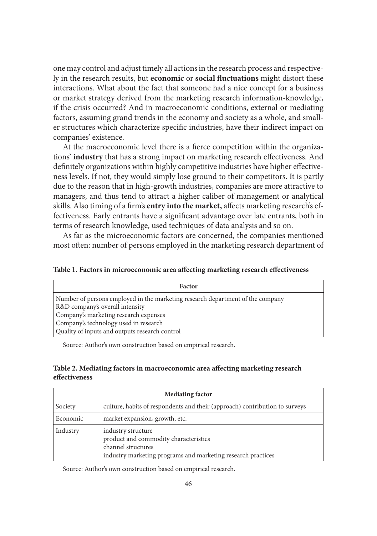one may control and adjust timely all actions in the research process and respectively in the research results, but **economic** or **social fluctuations** might distort these interactions. What about the fact that someone had a nice concept for a business or market strategy derived from the marketing research information-knowledge, if the crisis occurred? And in macroeconomic conditions, external or mediating factors, assuming grand trends in the economy and society as a whole, and smaller structures which characterize specific industries, have their indirect impact on companies' existence.

At the macroeconomic level there is a fierce competition within the organizations' **industry** that has a strong impact on marketing research effectiveness. And definitely organizations within highly competitive industries have higher effectiveness levels. If not, they would simply lose ground to their competitors. It is partly due to the reason that in high-growth industries, companies are more attractive to managers, and thus tend to attract a higher caliber of management or analytical skills. Also timing of a firm's **entry into the market,** affects marketing research's effectiveness. Early entrants have a significant advantage over late entrants, both in terms of research knowledge, used techniques of data analysis and so on.

As far as the microeconomic factors are concerned, the companies mentioned most often: number of persons employed in the marketing research department of

**Table 1. Factors in microeconomic area affecting marketing research effectiveness**

| <b>Factor</b>                                                                  |
|--------------------------------------------------------------------------------|
| Number of persons employed in the marketing research department of the company |
| R&D company's overall intensity                                                |
| Company's marketing research expenses                                          |
| Company's technology used in research                                          |
| Quality of inputs and outputs research control                                 |

Source: Author's own construction based on empirical research.

#### **Table 2. Mediating factors in macroeconomic area affecting marketing research effectiveness**

| <b>Mediating factor</b> |                                                                                                                                                   |  |
|-------------------------|---------------------------------------------------------------------------------------------------------------------------------------------------|--|
| Society                 | culture, habits of respondents and their (approach) contribution to surveys                                                                       |  |
| Economic                | market expansion, growth, etc.                                                                                                                    |  |
| Industry                | industry structure<br>product and commodity characteristics<br>channel structures<br>industry marketing programs and marketing research practices |  |

Source: Author's own construction based on empirical research.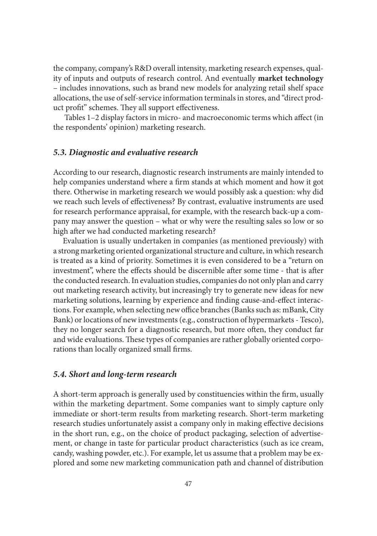the company, company's R&D overall intensity, marketing research expenses, quality of inputs and outputs of research control. And eventually **market technology** – includes innovations, such as brand new models for analyzing retail shelf space allocations, the use of self-service information terminals in stores, and "direct product profit" schemes. They all support effectiveness.

 Tables 1–2 display factors in micro- and macroeconomic terms which affect (in the respondents' opinion) marketing research.

## *5.3. Diagnostic and evaluative research*

According to our research, diagnostic research instruments are mainly intended to help companies understand where a firm stands at which moment and how it got there. Otherwise in marketing research we would possibly ask a question: why did we reach such levels of effectiveness? By contrast, evaluative instruments are used for research performance appraisal, for example, with the research back-up a company may answer the question – what or why were the resulting sales so low or so high after we had conducted marketing research?

Evaluation is usually undertaken in companies (as mentioned previously) with a strong marketing oriented organizational structure and culture, in which research is treated as a kind of priority. Sometimes it is even considered to be a "return on investment", where the effects should be discernible after some time - that is after the conducted research. In evaluation studies, companies do not only plan and carry out marketing research activity, but increasingly try to generate new ideas for new marketing solutions, learning by experience and finding cause-and-effect interactions. For example, when selecting new office branches (Banks such as: mBank, City Bank) or locations of new investments (e.g., construction of hypermarkets - Tesco), they no longer search for a diagnostic research, but more often, they conduct far and wide evaluations. These types of companies are rather globally oriented corporations than locally organized small firms.

## *5.4. Short and long-term research*

A short-term approach is generally used by constituencies within the firm, usually within the marketing department. Some companies want to simply capture only immediate or short-term results from marketing research. Short-term marketing research studies unfortunately assist a company only in making effective decisions in the short run, e.g., on the choice of product packaging, selection of advertisement, or change in taste for particular product characteristics (such as ice cream, candy, washing powder, etc.). For example, let us assume that a problem may be explored and some new marketing communication path and channel of distribution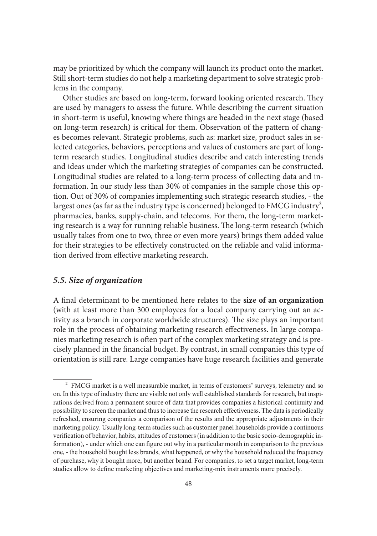may be prioritized by which the company will launch its product onto the market. Still short-term studies do not help a marketing department to solve strategic problems in the company.

Other studies are based on long-term, forward looking oriented research. They are used by managers to assess the future. While describing the current situation in short-term is useful, knowing where things are headed in the next stage (based on long-term research) is critical for them. Observation of the pattern of changes becomes relevant. Strategic problems, such as: market size, product sales in selected categories, behaviors, perceptions and values of customers are part of longterm research studies. Longitudinal studies describe and catch interesting trends and ideas under which the marketing strategies of companies can be constructed. Longitudinal studies are related to a long-term process of collecting data and information. In our study less than 30% of companies in the sample chose this option. Out of 30% of companies implementing such strategic research studies, - the largest ones (as far as the industry type is concerned) belonged to FMCG industry<sup>2</sup>, pharmacies, banks, supply-chain, and telecoms. For them, the long-term marketing research is a way for running reliable business. The long-term research (which usually takes from one to two, three or even more years) brings them added value for their strategies to be effectively constructed on the reliable and valid information derived from effective marketing research.

## *5.5. Size of organization*

A final determinant to be mentioned here relates to the **size of an organization**  (with at least more than 300 employees for a local company carrying out an activity as a branch in corporate worldwide structures). The size plays an important role in the process of obtaining marketing research effectiveness. In large companies marketing research is often part of the complex marketing strategy and is precisely planned in the financial budget. By contrast, in small companies this type of orientation is still rare. Large companies have huge research facilities and generate

<sup>&</sup>lt;sup>2</sup> FMCG market is a well measurable market, in terms of customers' surveys, telemetry and so on. In this type of industry there are visible not only well established standards for research, but inspirations derived from a permanent source of data that provides companies a historical continuity and possibility to screen the market and thus to increase the research effectiveness. The data is periodically refreshed, ensuring companies a comparison of the results and the appropriate adjustments in their marketing policy. Usually long-term studies such as customer panel households provide a continuous verification of behavior, habits, attitudes of customers (in addition to the basic socio-demographic information), - under which one can figure out why in a particular month in comparison to the previous one, - the household bought less brands, what happened, or why the household reduced the frequency of purchase, why it bought more, but another brand. For companies, to set a target market, long-term studies allow to define marketing objectives and marketing-mix instruments more precisely.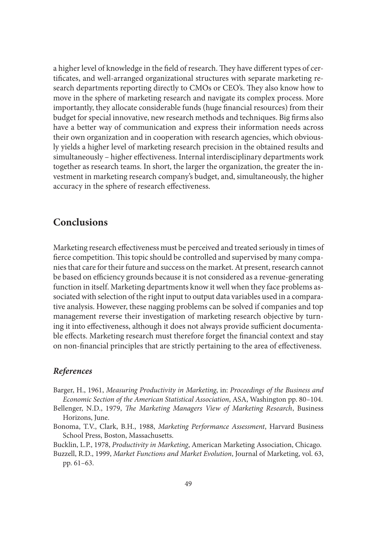a higher level of knowledge in the field of research. They have different types of certificates, and well-arranged organizational structures with separate marketing research departments reporting directly to CMOs or CEO's. They also know how to move in the sphere of marketing research and navigate its complex process. More importantly, they allocate considerable funds (huge financial resources) from their budget for special innovative, new research methods and techniques. Big firms also have a better way of communication and express their information needs across their own organization and in cooperation with research agencies, which obviously yields a higher level of marketing research precision in the obtained results and simultaneously – higher effectiveness. Internal interdisciplinary departments work together as research teams. In short, the larger the organization, the greater the investment in marketing research company's budget, and, simultaneously, the higher accuracy in the sphere of research effectiveness.

# **Conclusions**

Marketing research effectiveness must be perceived and treated seriously in times of fierce competition. This topic should be controlled and supervised by many companies that care for their future and success on the market. At present, research cannot be based on efficiency grounds because it is not considered as a revenue-generating function in itself. Marketing departments know it well when they face problems associated with selection of the right input to output data variables used in a comparative analysis. However, these nagging problems can be solved if companies and top management reverse their investigation of marketing research objective by turning it into effectiveness, although it does not always provide sufficient documentable effects. Marketing research must therefore forget the financial context and stay on non-financial principles that are strictly pertaining to the area of effectiveness.

## *References*

- Barger, H., 1961, *Measuring Productivity in Marketing*, in: *Proceedings of the Business and Economic Section of the American Statistical Association*, ASA, Washington pp. 80–104.
- Bellenger, N.D., 1979, *The Marketing Managers View of Marketing Research*, Business Horizons, June.
- Bonoma, T.V., Clark, B.H., 1988, *Marketing Performance Assessment*, Harvard Business School Press, Boston, Massachusetts.
- Bucklin, L.P., 1978, *Productivity in Marketing*, American Marketing Association, Chicago.
- Buzzell, R.D., 1999, *Market Functions and Market Evolution*, Journal of Marketing, vol. 63, pp. 61–63.